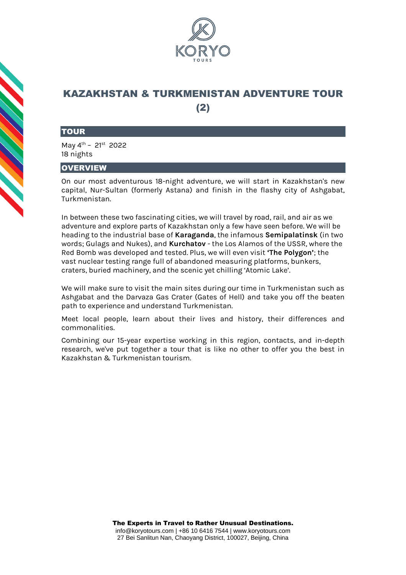

# KAZAKHSTAN & TURKMENISTAN ADVENTURE TOUR (2)

### **TOUR**

May 4th – 21st 2022 18 nights

## **OVERVIEW**

On our most adventurous 18-night adventure, we will start in Kazakhstan's new capital, Nur-Sultan (formerly Astana) and finish in the flashy city of Ashgabat, Turkmenistan.

In between these two fascinating cities, we will travel by road, rail, and air as we adventure and explore parts of Kazakhstan only a few have seen before. We will be heading to the industrial base of **Karaganda**, the infamous **Semipalatinsk** (in two words; Gulags and Nukes), and **Kurchatov** - the Los Alamos of the USSR, where the Red Bomb was developed and tested. Plus, we will even visit **'The Polygon'**; the vast nuclear testing range full of abandoned measuring platforms, bunkers, craters, buried machinery, and the scenic yet chilling 'Atomic Lake'.

We will make sure to visit the main sites during our time in Turkmenistan such as Ashgabat and the Darvaza Gas Crater (Gates of Hell) and take you off the beaten path to experience and understand Turkmenistan.

Meet local people, learn about their lives and history, their differences and commonalities.

Combining our 15-year expertise working in this region, contacts, and in-depth research, we've put together a tour that is like no other to offer you the best in Kazakhstan & Turkmenistan tourism.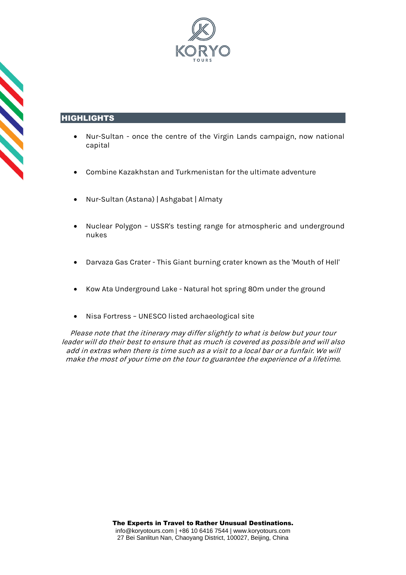

## HIGHLIGHTS

- Nur-Sultan once the centre of the Virgin Lands campaign, now national capital
- Combine Kazakhstan and Turkmenistan for the ultimate adventure
- Nur-Sultan (Astana) | Ashgabat | Almaty
- Nuclear Polygon USSR's testing range for atmospheric and underground nukes
- Darvaza Gas Crater This Giant burning crater known as the 'Mouth of Hell'
- Kow Ata Underground Lake Natural hot spring 80m under the ground
- Nisa Fortress UNESCO listed archaeological site

Please note that the itinerary may differ slightly to what is below but your tour leader will do their best to ensure that as much is covered as possible and will also add in extras when there is time such as a visit to a local bar or a funfair. We will make the most of your time on the tour to guarantee the experience of a lifetime.

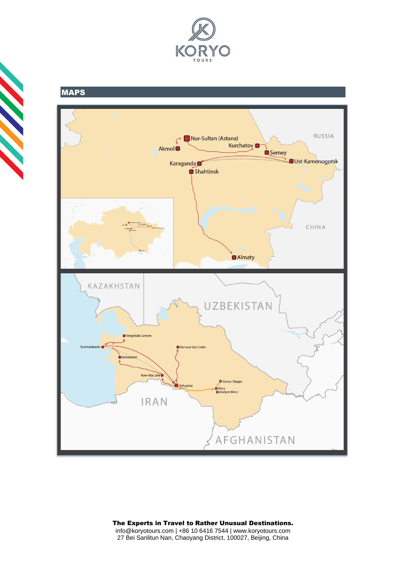



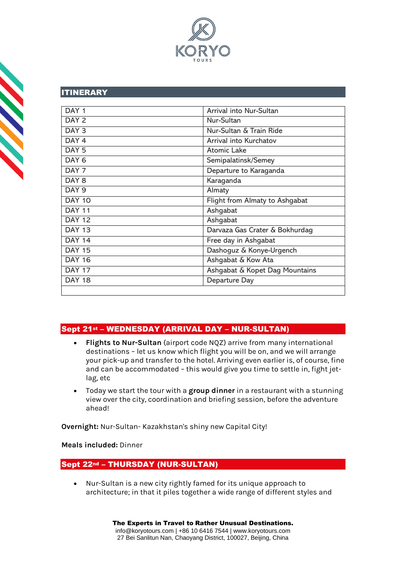

## ITINERARY

| DAY <sub>1</sub> | <b>Arrival into Nur-Sultan</b> |
|------------------|--------------------------------|
| DAY 2            | Nur-Sultan                     |
| DAY <sub>3</sub> | Nur-Sultan & Train Ride        |
| DAY <sub>4</sub> | Arrival into Kurchatov         |
| DAY <sub>5</sub> | <b>Atomic Lake</b>             |
| DAY <sub>6</sub> | Semipalatinsk/Semey            |
| DAY <sub>7</sub> | Departure to Karaganda         |
| DAY 8            | Karaganda                      |
| DAY <sub>9</sub> | Almaty                         |
| <b>DAY 10</b>    | Flight from Almaty to Ashgabat |
| <b>DAY 11</b>    | Ashgabat                       |
| <b>DAY 12</b>    | Ashgabat                       |
| <b>DAY 13</b>    | Darvaza Gas Crater & Bokhurdag |
| <b>DAY 14</b>    | Free day in Ashgabat           |
| <b>DAY 15</b>    | Dashoguz & Konye-Urgench       |
| <b>DAY 16</b>    | Ashgabat & Kow Ata             |
| <b>DAY 17</b>    | Ashgabat & Kopet Dag Mountains |
| <b>DAY 18</b>    | Departure Day                  |
|                  |                                |

# Sept 21st – WEDNESDAY (ARRIVAL DAY – NUR-SULTAN)

- **Flights to Nur-Sultan** (airport code NQZ) arrive from many international destinations – let us know which flight you will be on, and we will arrange your pick-up and transfer to the hotel. Arriving even earlier is, of course, fine and can be accommodated – this would give you time to settle in, fight jetlag, etc
- Today we start the tour with a **group dinner** in a restaurant with a stunning view over the city, coordination and briefing session, before the adventure ahead!

**Overnight:** Nur-Sultan- Kazakhstan's shiny new Capital City!

## **Meals included:** Dinner

## Sept 22nd – THURSDAY (NUR-SULTAN)

• Nur-Sultan is a new city rightly famed for its unique approach to architecture; in that it piles together a wide range of different styles and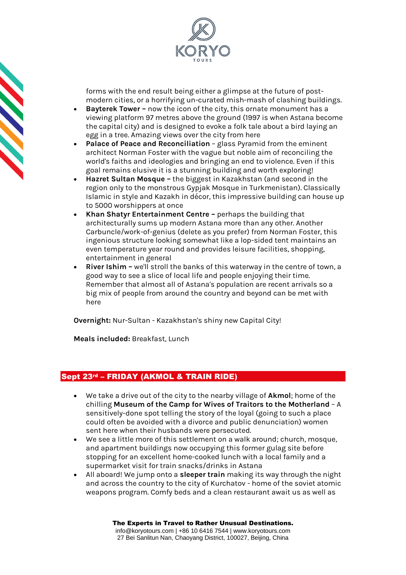

forms with the end result being either a glimpse at the future of postmodern cities, or a horrifying un-curated mish-mash of clashing buildings.

- **Bayterek Tower –** now the icon of the city, this ornate monument has a viewing platform 97 metres above the ground (1997 is when Astana become the capital city) and is designed to evoke a folk tale about a bird laying an egg in a tree. Amazing views over the city from here
- **Palace of Peace and Reconciliation**  glass Pyramid from the eminent architect Norman Foster with the vague but noble aim of reconciling the world's faiths and ideologies and bringing an end to violence. Even if this goal remains elusive it is a stunning building and worth exploring!
- **Hazret Sultan Mosque –** the biggest in Kazakhstan (and second in the region only to the monstrous Gypjak Mosque in Turkmenistan). Classically Islamic in style and Kazakh in décor, this impressive building can house up to 5000 worshippers at once
- **Khan Shatyr Entertainment Centre –** perhaps the building that architecturally sums up modern Astana more than any other. Another Carbuncle/work-of-genius (delete as you prefer) from Norman Foster, this ingenious structure looking somewhat like a lop-sided tent maintains an even temperature year round and provides leisure facilities, shopping, entertainment in general
- **River Ishim –** we'll stroll the banks of this waterway in the centre of town, a good way to see a slice of local life and people enjoying their time. Remember that almost all of Astana's population are recent arrivals so a big mix of people from around the country and beyond can be met with here

**Overnight:** Nur-Sultan - Kazakhstan's shiny new Capital City!

**Meals included:** Breakfast, Lunch

# Sept 23rd – FRIDAY (AKMOL & TRAIN RIDE)

- We take a drive out of the city to the nearby village of **Akmol**; home of the chilling **Museum of the Camp for Wives of Traitors to the Motherland** – A sensitively-done spot telling the story of the loyal (going to such a place could often be avoided with a divorce and public denunciation) women sent here when their husbands were persecuted.
- We see a little more of this settlement on a walk around; church, mosque, and apartment buildings now occupying this former gulag site before stopping for an excellent home-cooked lunch with a local family and a supermarket visit for train snacks/drinks in Astana
- All aboard! We jump onto a **sleeper train** making its way through the night and across the country to the city of Kurchatov - home of the soviet atomic weapons program. Comfy beds and a clean restaurant await us as well as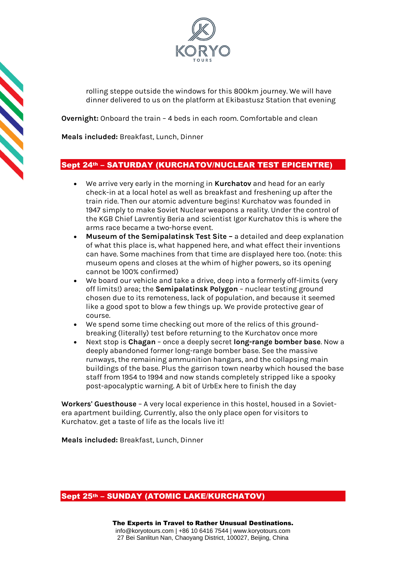

rolling steppe outside the windows for this 800km journey. We will have dinner delivered to us on the platform at Ekibastusz Station that evening

**Overnight:** Onboard the train – 4 beds in each room. Comfortable and clean

**Meals included:** Breakfast, Lunch, Dinner

## Sept 24th – SATURDAY (KURCHATOV/NUCLEAR TEST EPICENTRE)

- We arrive very early in the morning in **Kurchatov** and head for an early check-in at a local hotel as well as breakfast and freshening up after the train ride. Then our atomic adventure begins! Kurchatov was founded in 1947 simply to make Soviet Nuclear weapons a reality. Under the control of the KGB Chief Lavrentiy Beria and scientist Igor Kurchatov this is where the arms race became a two-horse event.
- **Museum of the Semipalatinsk Test Site –** a detailed and deep explanation of what this place is, what happened here, and what effect their inventions can have. Some machines from that time are displayed here too. (note: this museum opens and closes at the whim of higher powers, so its opening cannot be 100% confirmed)
- We board our vehicle and take a drive, deep into a formerly off-limits (very off limits!) area; the **Semipalatinsk Polygon** – nuclear testing ground chosen due to its remoteness, lack of population, and because it seemed like a good spot to blow a few things up. We provide protective gear of course.
- We spend some time checking out more of the relics of this groundbreaking (literally) test before returning to the Kurchatov once more
- Next stop is **Chagan** once a deeply secret **long-range bomber base**. Now a deeply abandoned former long-range bomber base. See the massive runways, the remaining ammunition hangars, and the collapsing main buildings of the base. Plus the garrison town nearby which housed the base staff from 1954 to 1994 and now stands completely stripped like a spooky post-apocalyptic warning. A bit of UrbEx here to finish the day

**Workers' Guesthouse** – A very local experience in this hostel, housed in a Sovietera apartment building. Currently, also the only place open for visitors to Kurchatov. get a taste of life as the locals live it!

**Meals included:** Breakfast, Lunch, Dinner

## Sept 25th – SUNDAY (ATOMIC LAKE/KURCHATOV)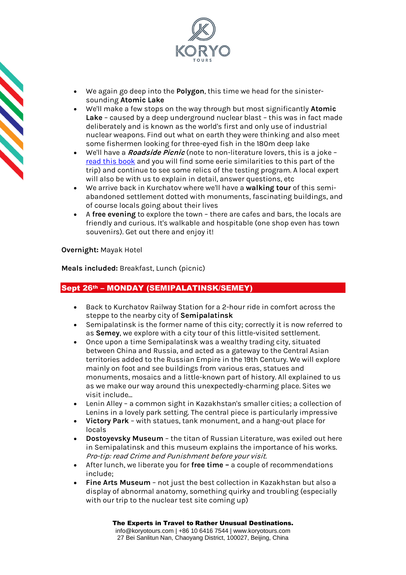

- We again go deep into the **Polygon**, this time we head for the sinistersounding **Atomic Lake**
- We'll make a few stops on the way through but most significantly **Atomic Lake** – caused by a deep underground nuclear blast – this was in fact made deliberately and is known as the world's first and only use of industrial nuclear weapons. Find out what on earth they were thinking and also meet some fishermen looking for three-eyed fish in the 180m deep lake
- We'll have a **Roadside Picnic** (note to non-literature lovers, this is a joke [read this book](https://en.wikipedia.org/wiki/Roadside_Picnic) and you will find some eerie similarities to this part of the trip) and continue to see some relics of the testing program. A local expert will also be with us to explain in detail, answer questions, etc
- We arrive back in Kurchatov where we'll have a **walking tour** of this semiabandoned settlement dotted with monuments, fascinating buildings, and of course locals going about their lives
- A **free evening** to explore the town there are cafes and bars, the locals are friendly and curious. It's walkable and hospitable (one shop even has town souvenirs). Get out there and enjoy it!

**Overnight:** Mayak Hotel

**Meals included:** Breakfast, Lunch (picnic)

## Sept 26th – MONDAY (SEMIPALATINSK/SEMEY)

- Back to Kurchatov Railway Station for a 2-hour ride in comfort across the steppe to the nearby city of **Semipalatinsk**
- Semipalatinsk is the former name of this city; correctly it is now referred to as **Semey**, we explore with a city tour of this little-visited settlement.
- Once upon a time Semipalatinsk was a wealthy trading city, situated between China and Russia, and acted as a gateway to the Central Asian territories added to the Russian Empire in the 19th Century. We will explore mainly on foot and see buildings from various eras, statues and monuments, mosaics and a little-known part of history. All explained to us as we make our way around this unexpectedly-charming place. Sites we visit include…
- Lenin Alley a common sight in Kazakhstan's smaller cities; a collection of Lenins in a lovely park setting. The central piece is particularly impressive
- **Victory Park** with statues, tank monument, and a hang-out place for locals
- **Dostoyevsky Museum**  the titan of Russian Literature, was exiled out here in Semipalatinsk and this museum explains the importance of his works. Pro-tip: read Crime and Punishment before your visit.
- After lunch, we liberate you for **free time –** a couple of recommendations include;
- **Fine Arts Museum** not just the best collection in Kazakhstan but also a display of abnormal anatomy, something quirky and troubling (especially with our trip to the nuclear test site coming up)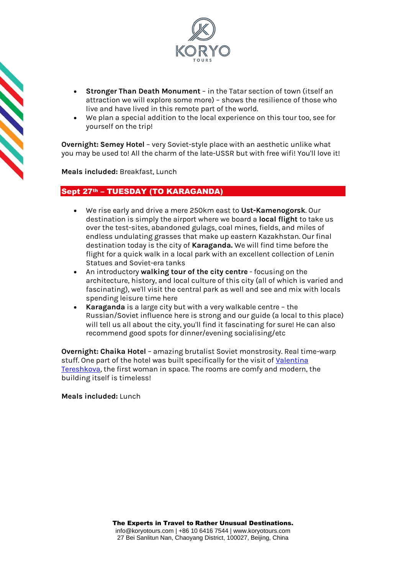



- **Stronger Than Death Monument** in the Tatar section of town (itself an attraction we will explore some more) – shows the resilience of those who live and have lived in this remote part of the world.
- We plan a special addition to the local experience on this tour too, see for yourself on the trip!

**Overnight: Semey Hotel** – very Soviet-style place with an aesthetic unlike what you may be used to! All the charm of the late-USSR but with free wifi! You'll love it!

**Meals included:** Breakfast, Lunch

## Sept 27<sup>th</sup> – TUESDAY (TO KARAGANDA)

- We rise early and drive a mere 250km east to **Ust-Kamenogorsk**. Our destination is simply the airport where we board a **local flight** to take us over the test-sites, abandoned gulags, coal mines, fields, and miles of endless undulating grasses that make up eastern Kazakhstan. Our final destination today is the city of **Karaganda.** We will find time before the flight for a quick walk in a local park with an excellent collection of Lenin Statues and Soviet-era tanks
- An introductory **walking tour of the city centre** focusing on the architecture, history, and local culture of this city (all of which is varied and fascinating), we'll visit the central park as well and see and mix with locals spending leisure time here
- **Karaganda** is a large city but with a very walkable centre the Russian/Soviet influence here is strong and our guide (a local to this place) will tell us all about the city, you'll find it fascinating for sure! He can also recommend good spots for dinner/evening socialising/etc

**Overnight: Chaika Hotel** – amazing brutalist Soviet monstrosity. Real time-warp stuff. One part of the hotel was built specifically for the visit of Valentina [Tereshkova,](https://en.wikipedia.org/wiki/Valentina_Tereshkova) the first woman in space. The rooms are comfy and modern, the building itself is timeless!

## **Meals included:** Lunch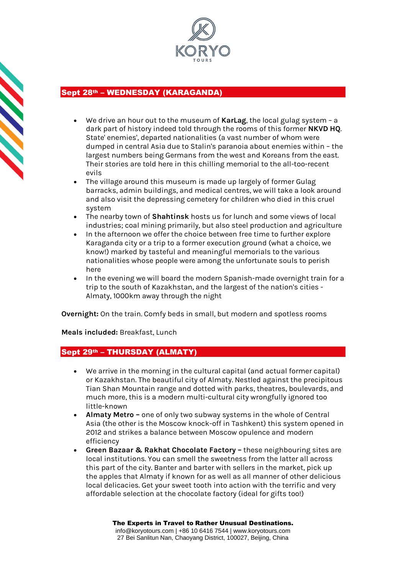

# Sept 28th – WEDNESDAY (KARAGANDA)

- We drive an hour out to the museum of **KarLag**, the local gulag system a dark part of history indeed told through the rooms of this former **NKVD HQ**. State' enemies', departed nationalities (a vast number of whom were dumped in central Asia due to Stalin's paranoia about enemies within – the largest numbers being Germans from the west and Koreans from the east. Their stories are told here in this chilling memorial to the all-too-recent evils
- The village around this museum is made up largely of former Gulag barracks, admin buildings, and medical centres, we will take a look around and also visit the depressing cemetery for children who died in this cruel system
- The nearby town of **Shahtinsk** hosts us for lunch and some views of local industries; coal mining primarily, but also steel production and agriculture
- In the afternoon we offer the choice between free time to further explore Karaganda city or a trip to a former execution ground (what a choice, we know!) marked by tasteful and meaningful memorials to the various nationalities whose people were among the unfortunate souls to perish here
- In the evening we will board the modern Spanish-made overnight train for a trip to the south of Kazakhstan, and the largest of the nation's cities - Almaty, 1000km away through the night

**Overnight:** On the train. Comfy beds in small, but modern and spotless rooms

## **Meals included:** Breakfast, Lunch

## Sept 29th – THURSDAY (ALMATY)

- We arrive in the morning in the cultural capital (and actual former capital) or Kazakhstan. The beautiful city of Almaty. Nestled against the precipitous Tian Shan Mountain range and dotted with parks, theatres, boulevards, and much more, this is a modern multi-cultural city wrongfully ignored too little-known
- **Almaty Metro –** one of only two subway systems in the whole of Central Asia (the other is the Moscow knock-off in Tashkent) this system opened in 2012 and strikes a balance between Moscow opulence and modern efficiency
- **Green Bazaar & Rakhat Chocolate Factory –** these neighbouring sites are local institutions. You can smell the sweetness from the latter all across this part of the city. Banter and barter with sellers in the market, pick up the apples that Almaty if known for as well as all manner of other delicious local delicacies. Get your sweet tooth into action with the terrific and very affordable selection at the chocolate factory (ideal for gifts too!)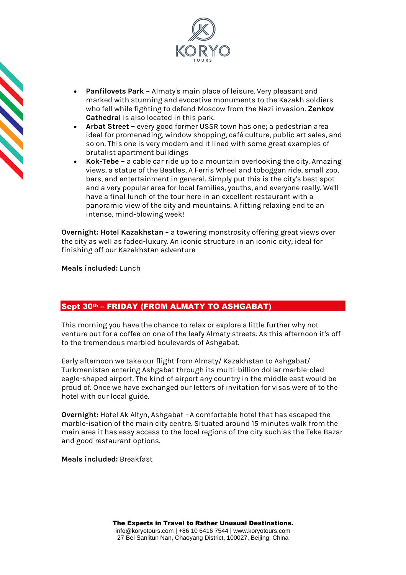



- **Panfilovets Park –** Almaty's main place of leisure. Very pleasant and marked with stunning and evocative monuments to the Kazakh soldiers who fell while fighting to defend Moscow from the Nazi invasion. **Zenkov Cathedral** is also located in this park.
- **Arbat Street –** every good former USSR town has one; a pedestrian area ideal for promenading, window shopping, café culture, public art sales, and so on. This one is very modern and it lined with some great examples of brutalist apartment buildings
- **Kok-Tebe –** a cable car ride up to a mountain overlooking the city. Amazing views, a statue of the Beatles, A Ferris Wheel and toboggan ride, small zoo, bars, and entertainment in general. Simply put this is the city's best spot and a very popular area for local families, youths, and everyone really. We'll have a final lunch of the tour here in an excellent restaurant with a panoramic view of the city and mountains. A fitting relaxing end to an intense, mind-blowing week!

**Overnight: Hotel Kazakhstan** – a towering monstrosity offering great views over the city as well as faded-luxury. An iconic structure in an iconic city; ideal for finishing off our Kazakhstan adventure

**Meals included:** Lunch

## Sept 30th – FRIDAY (FROM ALMATY TO ASHGABAT)

This morning you have the chance to relax or explore a little further why not venture out for a coffee on one of the leafy Almaty streets. As this afternoon it's off to the tremendous marbled boulevards of Ashgabat.

Early afternoon we take our flight from Almaty/ Kazakhstan to Ashgabat/ Turkmenistan entering Ashgabat through its multi-billion dollar marble-clad eagle-shaped airport. The kind of airport any country in the middle east would be proud of. Once we have exchanged our letters of invitation for visas were of to the hotel with our local guide.

**Overnight:** Hotel Ak Altyn, Ashgabat - A comfortable hotel that has escaped the marble-isation of the main city centre. Situated around 15 minutes walk from the main area it has easy access to the local regions of the city such as the Teke Bazar and good restaurant options.

**Meals included:** Breakfast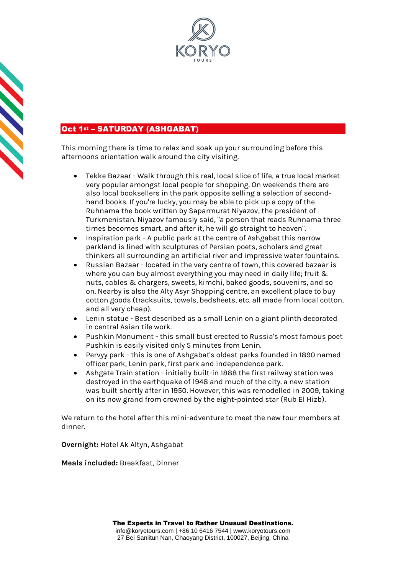



# Oct 1st - SATURDAY (ASHGABAT)

This morning there is time to relax and soak up your surrounding before this afternoons orientation walk around the city visiting.

- Tekke Bazaar Walk through this real, local slice of life, a true local market very popular amongst local people for shopping. On weekends there are also local booksellers in the park opposite selling a selection of secondhand books. If you're lucky, you may be able to pick up a copy of the Ruhnama the book written by Saparmurat Niyazov, the president of Turkmenistan. Niyazov famously said, "a person that reads Ruhnama three times becomes smart, and after it, he will go straight to heaven".
- Inspiration park A public park at the centre of Ashgabat this narrow parkland is lined with sculptures of Persian poets, scholars and great thinkers all surrounding an artificial river and impressive water fountains.
- Russian Bazaar located in the very centre of town, this covered bazaar is where you can buy almost everything you may need in daily life; fruit & nuts, cables & chargers, sweets, kimchi, baked goods, souvenirs, and so on. Nearby is also the Alty Asyr Shopping centre, an excellent place to buy cotton goods (tracksuits, towels, bedsheets, etc. all made from local cotton, and all very cheap).
- Lenin statue Best described as a small Lenin on a giant plinth decorated in central Asian tile work.
- Pushkin Monument this small bust erected to Russia's most famous poet Pushkin is easily visited only 5 minutes from Lenin.
- Pervyy park this is one of Ashgabat's oldest parks founded in 1890 named officer park, Lenin park, first park and independence park.
- Ashgate Train station initially built-in 1888 the first railway station was destroyed in the earthquake of 1948 and much of the city. a new station was built shortly after in 1950. However, this was remodelled in 2009, taking on its now grand from crowned by the eight-pointed star (Rub El Hizb).

We return to the hotel after this mini-adventure to meet the new tour members at dinner.

**Overnight:** Hotel Ak Altyn, Ashgabat

**Meals included:** Breakfast, Dinner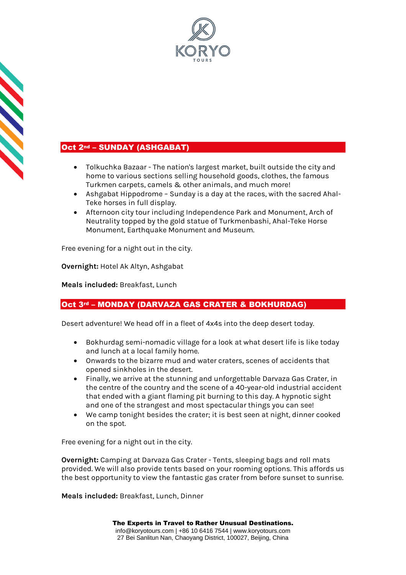



# Oct 2nd - SUNDAY (ASHGABAT)

- Tolkuchka Bazaar The nation's largest market, built outside the city and home to various sections selling household goods, clothes, the famous Turkmen carpets, camels & other animals, and much more!
- Ashgabat Hippodrome Sunday is a day at the races, with the sacred Ahal-Teke horses in full display.
- Afternoon city tour including Independence Park and Monument, Arch of Neutrality topped by the gold statue of Turkmenbashi, Ahal-Teke Horse Monument, Earthquake Monument and Museum.

Free evening for a night out in the city.

**Overnight:** Hotel Ak Altyn, Ashgabat

**Meals included:** Breakfast, Lunch

## Oct 3rd – MONDAY (DARVAZA GAS CRATER & BOKHURDAG)

Desert adventure! We head off in a fleet of 4x4s into the deep desert today.

- Bokhurdag semi-nomadic village for a look at what desert life is like today and lunch at a local family home.
- Onwards to the bizarre mud and water craters, scenes of accidents that opened sinkholes in the desert.
- Finally, we arrive at the stunning and unforgettable Darvaza Gas Crater, in the centre of the country and the scene of a 40-year-old industrial accident that ended with a giant flaming pit burning to this day. A hypnotic sight and one of the strangest and most spectacular things you can see!
- We camp tonight besides the crater; it is best seen at night, dinner cooked on the spot.

Free evening for a night out in the city.

**Overnight:** Camping at Darvaza Gas Crater - Tents, sleeping bags and roll mats provided. We will also provide tents based on your rooming options. This affords us the best opportunity to view the fantastic gas crater from before sunset to sunrise.

**Meals included:** Breakfast, Lunch, Dinner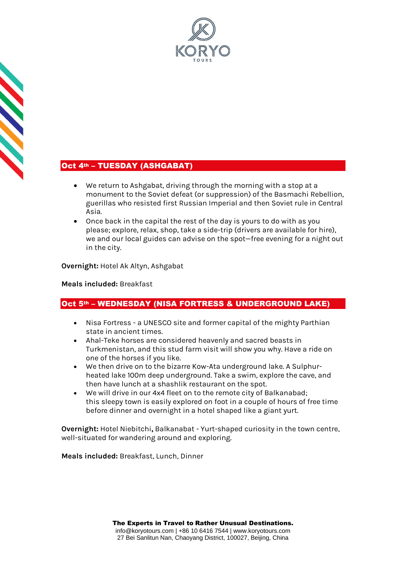

# Oct 4th - TUESDAY (ASHGABAT)

**CONSTRUCTION** 

- We return to Ashgabat, driving through the morning with a stop at a monument to the Soviet defeat (or suppression) of the Basmachi Rebellion, guerillas who resisted first Russian Imperial and then Soviet rule in Central Asia.
- Once back in the capital the rest of the day is yours to do with as you please; explore, relax, shop, take a side-trip (drivers are available for hire), we and our local guides can advise on the spot—free evening for a night out in the city.

## **Overnight:** Hotel Ak Altyn, Ashgabat

## **Meals included:** Breakfast

## Oct 5<sup>th</sup> – WEDNESDAY (NISA FORTRESS & UNDERGROUND LAKE)

- Nisa Fortress a UNESCO site and former capital of the mighty Parthian state in ancient times.
- Ahal-Teke horses are considered heavenly and sacred beasts in Turkmenistan, and this stud farm visit will show you why. Have a ride on one of the horses if you like.
- We then drive on to the bizarre Kow-Ata underground lake. A Sulphurheated lake 100m deep underground. Take a swim, explore the cave, and then have lunch at a shashlik restaurant on the spot.
- We will drive in our 4x4 fleet on to the remote city of Balkanabad; this sleepy town is easily explored on foot in a couple of hours of free time before dinner and overnight in a hotel shaped like a giant yurt.

**Overnight:** Hotel Niebitchi**,** Balkanabat - Yurt-shaped curiosity in the town centre, well-situated for wandering around and exploring.

**Meals included:** Breakfast, Lunch, Dinner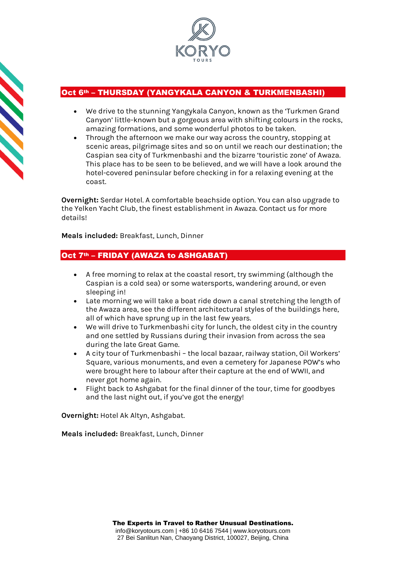

## Oct 6th – THURSDAY (YANGYKALA CANYON & TURKMENBASHI)

- We drive to the stunning Yangykala Canyon, known as the 'Turkmen Grand Canyon' little-known but a gorgeous area with shifting colours in the rocks, amazing formations, and some wonderful photos to be taken.
- Through the afternoon we make our way across the country, stopping at scenic areas, pilgrimage sites and so on until we reach our destination; the Caspian sea city of Turkmenbashi and the bizarre 'touristic zone' of Awaza. This place has to be seen to be believed, and we will have a look around the hotel-covered peninsular before checking in for a relaxing evening at the coast.

**Overnight:** Serdar Hotel. A comfortable beachside option. You can also upgrade to the Yelken Yacht Club, the finest establishment in Awaza. Contact us for more details!

**Meals included:** Breakfast, Lunch, Dinner

## Oct 7<sup>th</sup> – FRIDAY (AWAZA to ASHGABAT)

- A free morning to relax at the coastal resort, try swimming (although the Caspian is a cold sea) or some watersports, wandering around, or even sleeping in!
- Late morning we will take a boat ride down a canal stretching the length of the Awaza area, see the different architectural styles of the buildings here, all of which have sprung up in the last few years.
- We will drive to Turkmenbashi city for lunch, the oldest city in the country and one settled by Russians during their invasion from across the sea during the late Great Game.
- A city tour of Turkmenbashi the local bazaar, railway station, Oil Workers' Square, various monuments, and even a cemetery for Japanese POW's who were brought here to labour after their capture at the end of WWII, and never got home again.
- Flight back to Ashgabat for the final dinner of the tour, time for goodbyes and the last night out, if you've got the energy!

**Overnight:** Hotel Ak Altyn, Ashgabat.

**Meals included:** Breakfast, Lunch, Dinner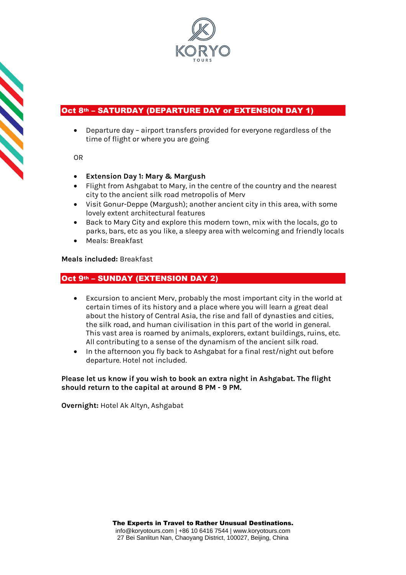

# Oct 8<sup>th</sup> – SATURDAY (DEPARTURE DAY or EXTENSION DAY 1)

• Departure day – airport transfers provided for everyone regardless of the time of flight or where you are going

OR

**Service** 

- **Extension Day 1: Mary & Margush**
- Flight from Ashgabat to Mary, in the centre of the country and the nearest city to the ancient silk road metropolis of Merv
- Visit Gonur-Deppe (Margush); another ancient city in this area, with some lovely extent architectural features
- Back to Mary City and explore this modern town, mix with the locals, go to parks, bars, etc as you like, a sleepy area with welcoming and friendly locals
- Meals: Breakfast

**Meals included:** Breakfast

## Oct 9th – SUNDAY (EXTENSION DAY 2)

- Excursion to ancient Merv, probably the most important city in the world at certain times of its history and a place where you will learn a great deal about the history of Central Asia, the rise and fall of dynasties and cities, the silk road, and human civilisation in this part of the world in general. This vast area is roamed by animals, explorers, extant buildings, ruins, etc. All contributing to a sense of the dynamism of the ancient silk road.
- In the afternoon you fly back to Ashgabat for a final rest/night out before departure. Hotel not included.

**Please let us know if you wish to book an extra night in Ashgabat. The flight should return to the capital at around 8 PM - 9 PM.**

**Overnight:** Hotel Ak Altyn, Ashgabat